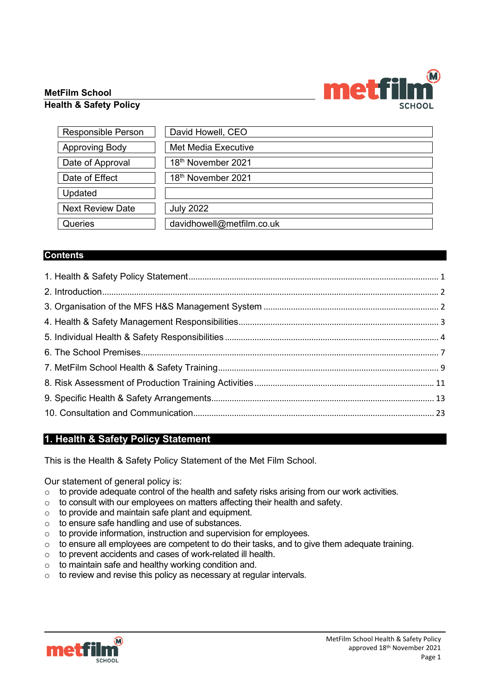# M metfi **SCHOOL**

# **MetFilm School**

## **Health & Safety Policy**

| Responsible Person      | David Howell, CEO         |
|-------------------------|---------------------------|
| <b>Approving Body</b>   | Met Media Executive       |
| Date of Approval        | 18th November 2021        |
| Date of Effect          | 18th November 2021        |
| Updated                 |                           |
| <b>Next Review Date</b> | <b>July 2022</b>          |
| Queries                 | davidhowell@metfilm.co.uk |

## **Contents**

# <span id="page-0-0"></span>**1. Health & Safety Policy Statement**

This is the Health & Safety Policy Statement of the Met Film School.

Our statement of general policy is:

- $\circ$  to provide adequate control of the health and safety risks arising from our work activities.<br> $\circ$  to consult with our employees on matters affecting their health and safety.
- to consult with our employees on matters affecting their health and safety.
- $\circ$  to provide and maintain safe plant and equipment.
- o to ensure safe handling and use of substances.
- $\circ$  to provide information, instruction and supervision for employees.<br> $\circ$  to ensure all employees are competent to do their tasks, and to gi
- $\circ$  to ensure all employees are competent to do their tasks, and to give them adequate training.<br> $\circ$  to prevent accidents and cases of work-related ill health.
- to prevent accidents and cases of work-related ill health.
- o to maintain safe and healthy working condition and.
- o to review and revise this policy as necessary at regular intervals.

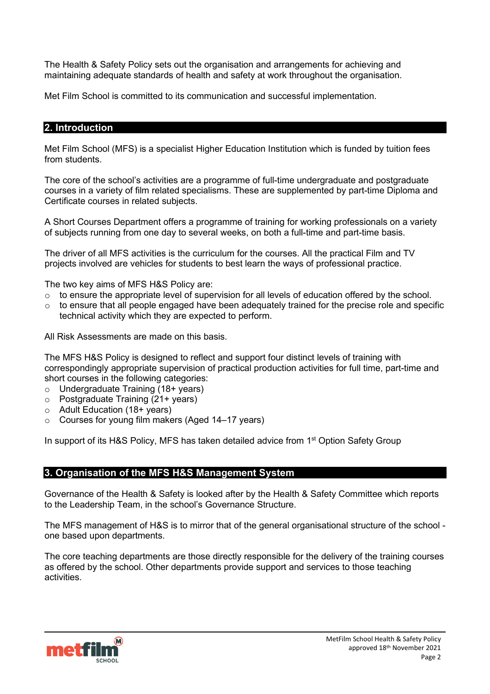The Health & Safety Policy sets out the organisation and arrangements for achieving and maintaining adequate standards of health and safety at work throughout the organisation.

Met Film School is committed to its communication and successful implementation.

#### <span id="page-1-0"></span>**2. Introduction**

Met Film School (MFS) is a specialist Higher Education Institution which is funded by tuition fees from students.

The core of the school's activities are a programme of full-time undergraduate and postgraduate courses in a variety of film related specialisms. These are supplemented by part-time Diploma and Certificate courses in related subjects.

A Short Courses Department offers a programme of training for working professionals on a variety of subjects running from one day to several weeks, on both a full-time and part-time basis.

The driver of all MFS activities is the curriculum for the courses. All the practical Film and TV projects involved are vehicles for students to best learn the ways of professional practice.

The two key aims of MFS H&S Policy are:

- $\circ$  to ensure the appropriate level of supervision for all levels of education offered by the school.<br> $\circ$  to ensure that all people engaged have been adequately trained for the precise role and spec
- to ensure that all people engaged have been adequately trained for the precise role and specific technical activity which they are expected to perform.

All Risk Assessments are made on this basis.

The MFS H&S Policy is designed to reflect and support four distinct levels of training with correspondingly appropriate supervision of practical production activities for full time, part-time and short courses in the following categories:

- o Undergraduate Training (18+ years)
- o Postgraduate Training (21+ years)
- o Adult Education (18+ years)
- o Courses for young film makers (Aged 14–17 years)

In support of its H&S Policy, MFS has taken detailed advice from 1<sup>st</sup> Option Safety Group

## <span id="page-1-1"></span>**3. Organisation of the MFS H&S Management System**

Governance of the Health & Safety is looked after by the Health & Safety Committee which reports to the Leadership Team, in the school's Governance Structure.

The MFS management of H&S is to mirror that of the general organisational structure of the school one based upon departments.

The core teaching departments are those directly responsible for the delivery of the training courses as offered by the school. Other departments provide support and services to those teaching activities.

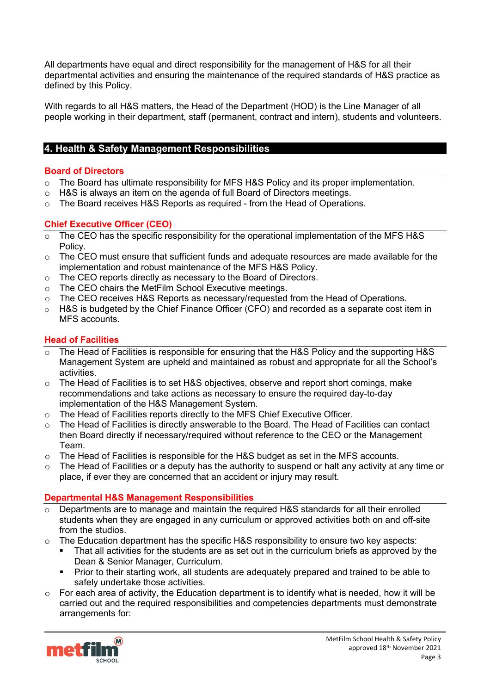All departments have equal and direct responsibility for the management of H&S for all their departmental activities and ensuring the maintenance of the required standards of H&S practice as defined by this Policy.

With regards to all H&S matters, the Head of the Department (HOD) is the Line Manager of all people working in their department, staff (permanent, contract and intern), students and volunteers.

## <span id="page-2-0"></span>**4. Health & Safety Management Responsibilities**

#### **Board of Directors**

- $\overline{\circ}$  The Board has ultimate responsibility for MFS H&S Policy and its proper implementation.<br>  $\overline{\circ}$  H&S is always an item on the agenda of full Board of Directors meetings
- $\circ$  H&S is always an item on the agenda of full Board of Directors meetings.<br>  $\circ$  The Board receives H&S Reports as required from the Head of Operatio
- The Board receives H&S Reports as required from the Head of Operations.

## **Chief Executive Officer (CEO)**

- o The CEO has the specific responsibility for the operational implementation of the MFS H&S Policy.
- $\circ$  The CEO must ensure that sufficient funds and adequate resources are made available for the implementation and robust maintenance of the MFS H&S Policy.
- o The CEO reports directly as necessary to the Board of Directors.
- o The CEO chairs the MetFilm School Executive meetings.
- $\circ$  The CEO receives H&S Reports as necessary/requested from the Head of Operations.
- o H&S is budgeted by the Chief Finance Officer (CFO) and recorded as a separate cost item in MFS accounts.

## **Head of Facilities**

- The Head of Facilities is responsible for ensuring that the H&S Policy and the supporting H&S Management System are upheld and maintained as robust and appropriate for all the School's activities.
- o The Head of Facilities is to set H&S objectives, observe and report short comings, make recommendations and take actions as necessary to ensure the required day-to-day implementation of the H&S Management System.
- $\circ$  The Head of Facilities reports directly to the MFS Chief Executive Officer.
- The Head of Facilities is directly answerable to the Board. The Head of Facilities can contact then Board directly if necessary/required without reference to the CEO or the Management Team.
- $\circ$  The Head of Facilities is responsible for the H&S budget as set in the MFS accounts.
- o The Head of Facilities or a deputy has the authority to suspend or halt any activity at any time or place, if ever they are concerned that an accident or injury may result.

## **Departmental H&S Management Responsibilities**

- Departments are to manage and maintain the required H&S standards for all their enrolled students when they are engaged in any curriculum or approved activities both on and off-site from the studios.
- o The Education department has the specific H&S responsibility to ensure two key aspects:
	- That all activities for the students are as set out in the curriculum briefs as approved by the Dean & Senior Manager, Curriculum.
	- **Prior to their starting work, all students are adequately prepared and trained to be able to** safely undertake those activities.
- $\circ$  For each area of activity, the Education department is to identify what is needed, how it will be carried out and the required responsibilities and competencies departments must demonstrate arrangements for:

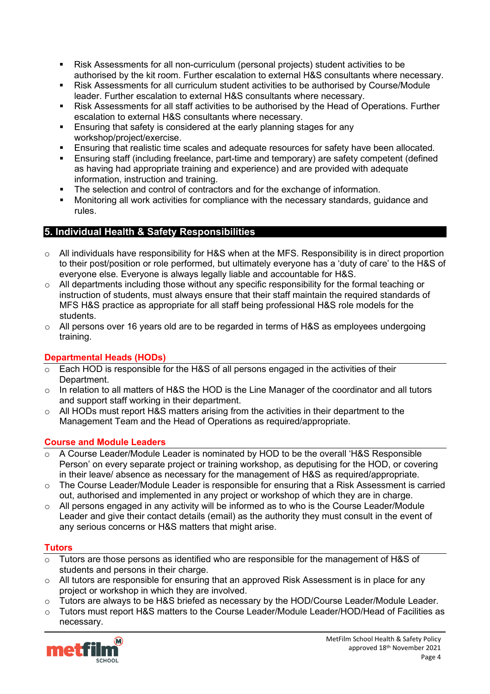- Risk Assessments for all non-curriculum (personal projects) student activities to be authorised by the kit room. Further escalation to external H&S consultants where necessary.
- Risk Assessments for all curriculum student activities to be authorised by Course/Module leader. Further escalation to external H&S consultants where necessary.
- Risk Assessments for all staff activities to be authorised by the Head of Operations. Further escalation to external H&S consultants where necessary.
- Ensuring that safety is considered at the early planning stages for any workshop/project/exercise.
- Ensuring that realistic time scales and adequate resources for safety have been allocated.
- Ensuring staff (including freelance, part-time and temporary) are safety competent (defined as having had appropriate training and experience) and are provided with adequate information, instruction and training.
- The selection and control of contractors and for the exchange of information.
- Monitoring all work activities for compliance with the necessary standards, guidance and rules.

# <span id="page-3-0"></span>**5. Individual Health & Safety Responsibilities**

- o All individuals have responsibility for H&S when at the MFS. Responsibility is in direct proportion to their post/position or role performed, but ultimately everyone has a 'duty of care' to the H&S of everyone else. Everyone is always legally liable and accountable for H&S.
- $\circ$  All departments including those without any specific responsibility for the formal teaching or instruction of students, must always ensure that their staff maintain the required standards of MFS H&S practice as appropriate for all staff being professional H&S role models for the students.
- o All persons over 16 years old are to be regarded in terms of H&S as employees undergoing training.

## **Departmental Heads (HODs)**

- o Each HOD is responsible for the H&S of all persons engaged in the activities of their Department.
- o In relation to all matters of H&S the HOD is the Line Manager of the coordinator and all tutors and support staff working in their department.
- o All HODs must report H&S matters arising from the activities in their department to the Management Team and the Head of Operations as required/appropriate.

## **Course and Module Leaders**

- o A Course Leader/Module Leader is nominated by HOD to be the overall 'H&S Responsible Person' on every separate project or training workshop, as deputising for the HOD, or covering in their leave/ absence as necessary for the management of H&S as required/appropriate.
- o The Course Leader/Module Leader is responsible for ensuring that a Risk Assessment is carried out, authorised and implemented in any project or workshop of which they are in charge.
- o All persons engaged in any activity will be informed as to who is the Course Leader/Module Leader and give their contact details (email) as the authority they must consult in the event of any serious concerns or H&S matters that might arise.

#### **Tutors**

- Tutors are those persons as identified who are responsible for the management of H&S of students and persons in their charge.
- $\circ$  All tutors are responsible for ensuring that an approved Risk Assessment is in place for any project or workshop in which they are involved.
- $\circ$  Tutors are always to be H&S briefed as necessary by the HOD/Course Leader/Module Leader.
- o Tutors must report H&S matters to the Course Leader/Module Leader/HOD/Head of Facilities as necessary.

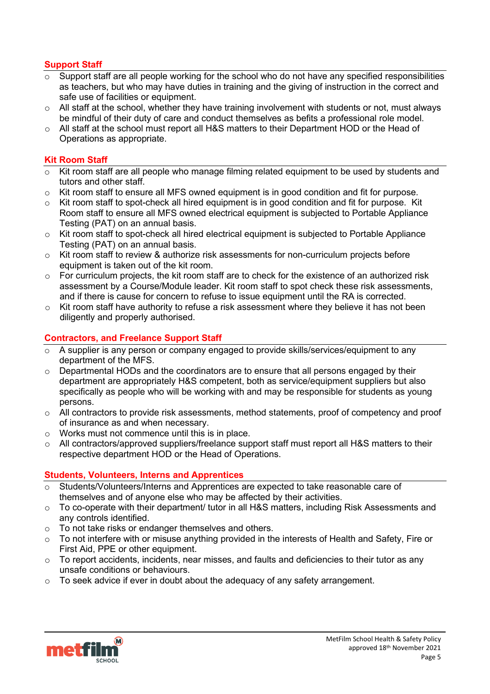## **Support Staff**

- o Support staff are all people working for the school who do not have any specified responsibilities as teachers, but who may have duties in training and the giving of instruction in the correct and safe use of facilities or equipment.
- o All staff at the school, whether they have training involvement with students or not, must always be mindful of their duty of care and conduct themselves as befits a professional role model.
- $\circ$  All staff at the school must report all H&S matters to their Department HOD or the Head of Operations as appropriate.

## **Kit Room Staff**

- $\overline{\circ}$  Kit room staff are all people who manage filming related equipment to be used by students and tutors and other staff.
- $\circ$  Kit room staff to ensure all MFS owned equipment is in good condition and fit for purpose.
- o Kit room staff to spot-check all hired equipment is in good condition and fit for purpose. Kit Room staff to ensure all MFS owned electrical equipment is subjected to Portable Appliance Testing (PAT) on an annual basis.
- o Kit room staff to spot-check all hired electrical equipment is subjected to Portable Appliance Testing (PAT) on an annual basis.
- $\circ$  Kit room staff to review & authorize risk assessments for non-curriculum projects before equipment is taken out of the kit room.
- $\circ$  For curriculum projects, the kit room staff are to check for the existence of an authorized risk assessment by a Course/Module leader. Kit room staff to spot check these risk assessments, and if there is cause for concern to refuse to issue equipment until the RA is corrected.
- $\circ$  Kit room staff have authority to refuse a risk assessment where they believe it has not been diligently and properly authorised.

## **Contractors, and Freelance Support Staff**

- A supplier is any person or company engaged to provide skills/services/equipment to any department of the MFS.
- $\circ$  Departmental HODs and the coordinators are to ensure that all persons engaged by their department are appropriately H&S competent, both as service/equipment suppliers but also specifically as people who will be working with and may be responsible for students as young persons.
- $\circ$  All contractors to provide risk assessments, method statements, proof of competency and proof of insurance as and when necessary.
- o Works must not commence until this is in place.
- $\circ$  All contractors/approved suppliers/freelance support staff must report all H&S matters to their respective department HOD or the Head of Operations.

## **Students, Volunteers, Interns and Apprentices**

- o Students/Volunteers/Interns and Apprentices are expected to take reasonable care of themselves and of anyone else who may be affected by their activities.
- o To co-operate with their department/ tutor in all H&S matters, including Risk Assessments and any controls identified.
- o To not take risks or endanger themselves and others.
- o To not interfere with or misuse anything provided in the interests of Health and Safety, Fire or First Aid, PPE or other equipment.
- $\circ$  To report accidents, incidents, near misses, and faults and deficiencies to their tutor as any unsafe conditions or behaviours.
- To seek advice if ever in doubt about the adequacy of any safety arrangement.

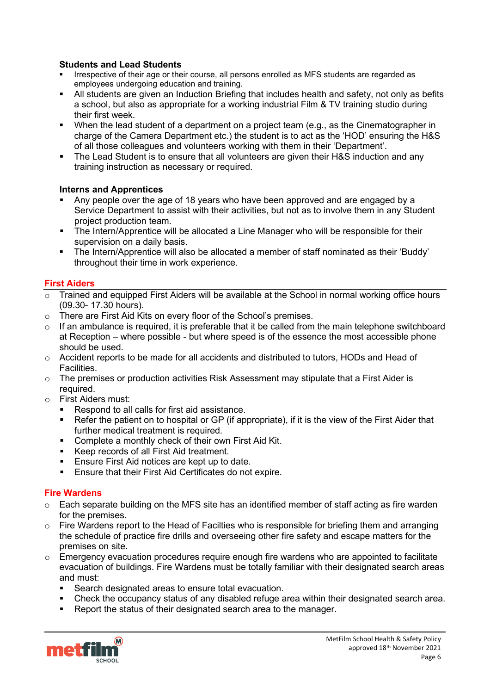## **Students and Lead Students**

- Irrespective of their age or their course, all persons enrolled as MFS students are regarded as employees undergoing education and training.
- All students are given an Induction Briefing that includes health and safety, not only as befits a school, but also as appropriate for a working industrial Film & TV training studio during their first week.
- When the lead student of a department on a project team (e.g., as the Cinematographer in charge of the Camera Department etc.) the student is to act as the 'HOD' ensuring the H&S of all those colleagues and volunteers working with them in their 'Department'.
- The Lead Student is to ensure that all volunteers are given their H&S induction and any training instruction as necessary or required.

## **Interns and Apprentices**

- Any people over the age of 18 years who have been approved and are engaged by a Service Department to assist with their activities, but not as to involve them in any Student project production team.
- The Intern/Apprentice will be allocated a Line Manager who will be responsible for their supervision on a daily basis.
- The Intern/Apprentice will also be allocated a member of staff nominated as their 'Buddy' throughout their time in work experience.

## **First Aiders**

- Trained and equipped First Aiders will be available at the School in normal working office hours (09.30- 17.30 hours).
- o There are First Aid Kits on every floor of the School's premises.
- $\circ$  If an ambulance is required, it is preferable that it be called from the main telephone switchboard at Reception – where possible - but where speed is of the essence the most accessible phone should be used.
- $\circ$  Accident reports to be made for all accidents and distributed to tutors, HODs and Head of Facilities.
- $\circ$  The premises or production activities Risk Assessment may stipulate that a First Aider is required.
- o First Aiders must:
	- Respond to all calls for first aid assistance.
	- Refer the patient on to hospital or GP (if appropriate), if it is the view of the First Aider that further medical treatment is required.
	- **Complete a monthly check of their own First Aid Kit.**
	- Keep records of all First Aid treatment.
	- **Ensure First Aid notices are kept up to date.**
	- Ensure that their First Aid Certificates do not expire.

#### **Fire Wardens**

- o Each separate building on the MFS site has an identified member of staff acting as fire warden for the premises.
- o Fire Wardens report to the Head of Facilties who is responsible for briefing them and arranging the schedule of practice fire drills and overseeing other fire safety and escape matters for the premises on site.
- $\circ$  Emergency evacuation procedures require enough fire wardens who are appointed to facilitate evacuation of buildings. Fire Wardens must be totally familiar with their designated search areas and must:
	- Search designated areas to ensure total evacuation.
	- Check the occupancy status of any disabled refuge area within their designated search area.
	- Report the status of their designated search area to the manager.

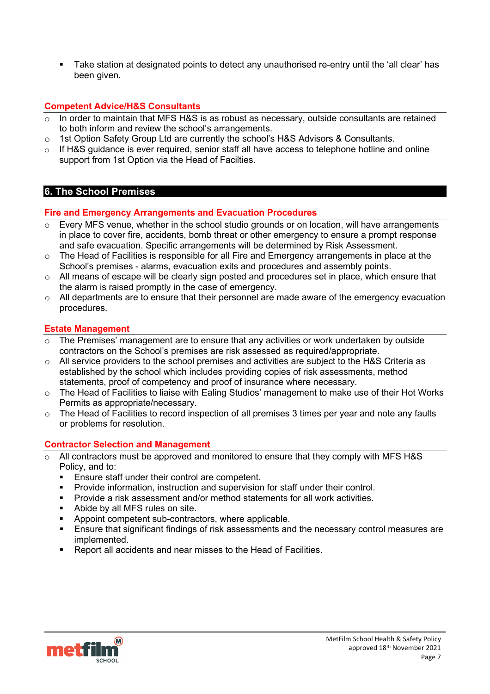Take station at designated points to detect any unauthorised re-entry until the 'all clear' has been given.

## **Competent Advice/H&S Consultants**

- In order to maintain that MFS H&S is as robust as necessary, outside consultants are retained to both inform and review the school's arrangements.
- $\circ$  1st Option Safety Group Ltd are currently the school's H&S Advisors & Consultants.
- If H&S guidance is ever required, senior staff all have access to telephone hotline and online support from 1st Option via the Head of Facilties.

## <span id="page-6-0"></span>**6. The School Premises**

## **Fire and Emergency Arrangements and Evacuation Procedures**

- $\overline{\circ}$  Every MFS venue, whether in the school studio grounds or on location, will have arrangements in place to cover fire, accidents, bomb threat or other emergency to ensure a prompt response and safe evacuation. Specific arrangements will be determined by Risk Assessment.
- $\circ$  The Head of Facilities is responsible for all Fire and Emergency arrangements in place at the School's premises - alarms, evacuation exits and procedures and assembly points.
- o All means of escape will be clearly sign posted and procedures set in place, which ensure that the alarm is raised promptly in the case of emergency.
- o All departments are to ensure that their personnel are made aware of the emergency evacuation procedures.

## **Estate Management**

- The Premises' management are to ensure that any activities or work undertaken by outside contractors on the School's premises are risk assessed as required/appropriate.
- $\circ$  All service providers to the school premises and activities are subject to the H&S Criteria as established by the school which includes providing copies of risk assessments, method statements, proof of competency and proof of insurance where necessary.
- o The Head of Facilities to liaise with Ealing Studios' management to make use of their Hot Works Permits as appropriate/necessary.
- o The Head of Facilities to record inspection of all premises 3 times per year and note any faults or problems for resolution.

## **Contractor Selection and Management**

- o All contractors must be approved and monitored to ensure that they comply with MFS H&S Policy, and to:
	- **Ensure staff under their control are competent.**<br>**Provide information instruction and supervision**
	- Provide information, instruction and supervision for staff under their control.
	- **Provide a risk assessment and/or method statements for all work activities.**
	- Abide by all MFS rules on site.
	- Appoint competent sub-contractors, where applicable.
	- Ensure that significant findings of risk assessments and the necessary control measures are implemented.
	- Report all accidents and near misses to the Head of Facilities.

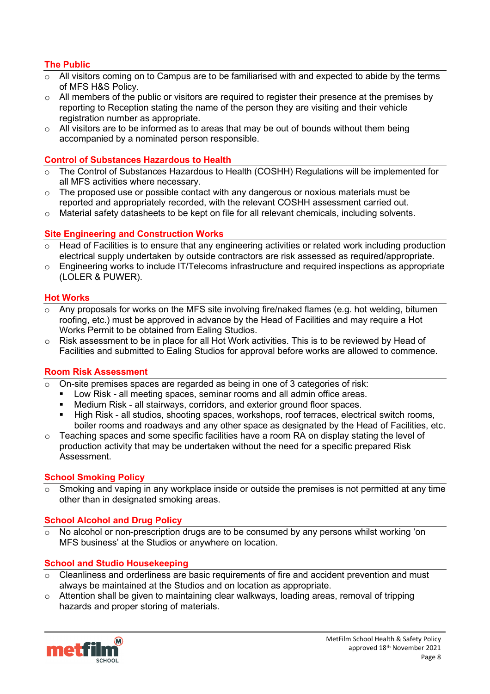## **The Public**

- o All visitors coming on to Campus are to be familiarised with and expected to abide by the terms of MFS H&S Policy.
- $\circ$  All members of the public or visitors are required to register their presence at the premises by reporting to Reception stating the name of the person they are visiting and their vehicle registration number as appropriate.
- $\circ$  All visitors are to be informed as to areas that may be out of bounds without them being accompanied by a nominated person responsible.

#### **Control of Substances Hazardous to Health**

- The Control of Substances Hazardous to Health (COSHH) Regulations will be implemented for all MFS activities where necessary.
- $\circ$  The proposed use or possible contact with any dangerous or noxious materials must be reported and appropriately recorded, with the relevant COSHH assessment carried out.
- $\circ$  Material safety datasheets to be kept on file for all relevant chemicals, including solvents.

## **Site Engineering and Construction Works**

- o Head of Facilities is to ensure that any engineering activities or related work including production electrical supply undertaken by outside contractors are risk assessed as required/appropriate.
- o Engineering works to include IT/Telecoms infrastructure and required inspections as appropriate (LOLER & PUWER).

#### **Hot Works**

- Any proposals for works on the MFS site involving fire/naked flames (e.g. hot welding, bitumen roofing, etc.) must be approved in advance by the Head of Facilities and may require a Hot Works Permit to be obtained from Ealing Studios.
- o Risk assessment to be in place for all Hot Work activities. This is to be reviewed by Head of Facilities and submitted to Ealing Studios for approval before works are allowed to commence.

#### **Room Risk Assessment**

- On-site premises spaces are regarded as being in one of 3 categories of risk:
	- Low Risk all meeting spaces, seminar rooms and all admin office areas.
	- Medium Risk all stairways, corridors, and exterior ground floor spaces.
	- High Risk all studios, shooting spaces, workshops, roof terraces, electrical switch rooms, boiler rooms and roadways and any other space as designated by the Head of Facilities, etc.
- o Teaching spaces and some specific facilities have a room RA on display stating the level of production activity that may be undertaken without the need for a specific prepared Risk Assessment.

#### **School Smoking Policy**

Smoking and vaping in any workplace inside or outside the premises is not permitted at any time other than in designated smoking areas.

#### **School Alcohol and Drug Policy**

No alcohol or non-prescription drugs are to be consumed by any persons whilst working 'on MFS business' at the Studios or anywhere on location.

#### **School and Studio Housekeeping**

- Cleanliness and orderliness are basic requirements of fire and accident prevention and must always be maintained at the Studios and on location as appropriate.
- o Attention shall be given to maintaining clear walkways, loading areas, removal of tripping hazards and proper storing of materials.

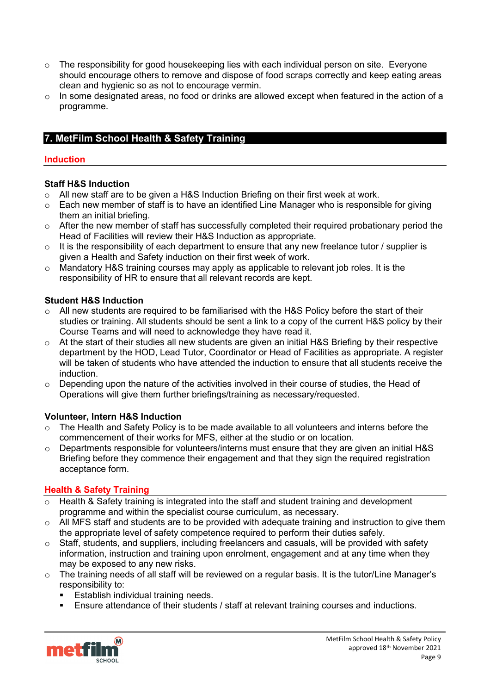- $\circ$  The responsibility for good housekeeping lies with each individual person on site. Everyone should encourage others to remove and dispose of food scraps correctly and keep eating areas clean and hygienic so as not to encourage vermin.
- $\circ$  In some designated areas, no food or drinks are allowed except when featured in the action of a programme.

# <span id="page-8-0"></span>**7. MetFilm School Health & Safety Training**

#### **Induction**

#### **Staff H&S Induction**

- o All new staff are to be given a H&S Induction Briefing on their first week at work.
- o Each new member of staff is to have an identified Line Manager who is responsible for giving them an initial briefing.
- o After the new member of staff has successfully completed their required probationary period the Head of Facilities will review their H&S Induction as appropriate.
- It is the responsibility of each department to ensure that any new freelance tutor / supplier is given a Health and Safety induction on their first week of work.
- o Mandatory H&S training courses may apply as applicable to relevant job roles. It is the responsibility of HR to ensure that all relevant records are kept.

#### **Student H&S Induction**

- o All new students are required to be familiarised with the H&S Policy before the start of their studies or training. All students should be sent a link to a copy of the current H&S policy by their Course Teams and will need to acknowledge they have read it.
- $\circ$  At the start of their studies all new students are given an initial H&S Briefing by their respective department by the HOD, Lead Tutor, Coordinator or Head of Facilities as appropriate. A register will be taken of students who have attended the induction to ensure that all students receive the induction.
- o Depending upon the nature of the activities involved in their course of studies, the Head of Operations will give them further briefings/training as necessary/requested.

#### **Volunteer, Intern H&S Induction**

- o The Health and Safety Policy is to be made available to all volunteers and interns before the commencement of their works for MFS, either at the studio or on location.
- o Departments responsible for volunteers/interns must ensure that they are given an initial H&S Briefing before they commence their engagement and that they sign the required registration acceptance form.

## **Health & Safety Training**

- $\overline{\circ}$  Health & Safety training is integrated into the staff and student training and development programme and within the specialist course curriculum, as necessary.
- $\circ$  All MFS staff and students are to be provided with adequate training and instruction to give them the appropriate level of safety competence required to perform their duties safely.
- $\circ$  Staff, students, and suppliers, including freelancers and casuals, will be provided with safety information, instruction and training upon enrolment, engagement and at any time when they may be exposed to any new risks.
- o The training needs of all staff will be reviewed on a regular basis. It is the tutor/Line Manager's responsibility to:
	- **Establish individual training needs.**
	- Ensure attendance of their students / staff at relevant training courses and inductions.

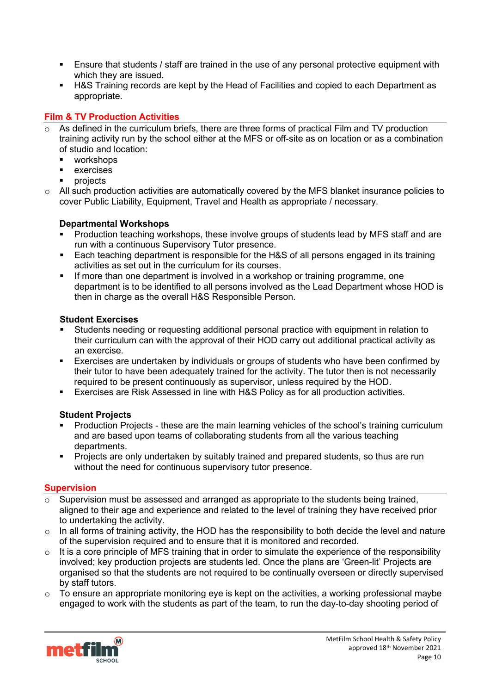- **Ensure that students / staff are trained in the use of any personal protective equipment with** which they are issued.
- H&S Training records are kept by the Head of Facilities and copied to each Department as appropriate.

## **Film & TV Production Activities**

- As defined in the curriculum briefs, there are three forms of practical Film and TV production training activity run by the school either at the MFS or off-site as on location or as a combination of studio and location:
	- workshops
	- exercises
	- projects
- o All such production activities are automatically covered by the MFS blanket insurance policies to cover Public Liability, Equipment, Travel and Health as appropriate / necessary.

## **Departmental Workshops**

- Production teaching workshops, these involve groups of students lead by MFS staff and are run with a continuous Supervisory Tutor presence.
- Each teaching department is responsible for the H&S of all persons engaged in its training activities as set out in the curriculum for its courses.
- **If more than one department is involved in a workshop or training programme, one** department is to be identified to all persons involved as the Lead Department whose HOD is then in charge as the overall H&S Responsible Person.

#### **Student Exercises**

- Students needing or requesting additional personal practice with equipment in relation to their curriculum can with the approval of their HOD carry out additional practical activity as an exercise.
- Exercises are undertaken by individuals or groups of students who have been confirmed by their tutor to have been adequately trained for the activity. The tutor then is not necessarily required to be present continuously as supervisor, unless required by the HOD.
- Exercises are Risk Assessed in line with H&S Policy as for all production activities.

## **Student Projects**

- Production Projects these are the main learning vehicles of the school's training curriculum and are based upon teams of collaborating students from all the various teaching departments.
- **Projects are only undertaken by suitably trained and prepared students, so thus are run** without the need for continuous supervisory tutor presence.

## **Supervision**

- Supervision must be assessed and arranged as appropriate to the students being trained, aligned to their age and experience and related to the level of training they have received prior to undertaking the activity.
- $\circ$  In all forms of training activity, the HOD has the responsibility to both decide the level and nature of the supervision required and to ensure that it is monitored and recorded.
- $\circ$  It is a core principle of MFS training that in order to simulate the experience of the responsibility involved; key production projects are students led. Once the plans are 'Green-lit' Projects are organised so that the students are not required to be continually overseen or directly supervised by staff tutors.
- $\circ$  To ensure an appropriate monitoring eye is kept on the activities, a working professional maybe engaged to work with the students as part of the team, to run the day-to-day shooting period of

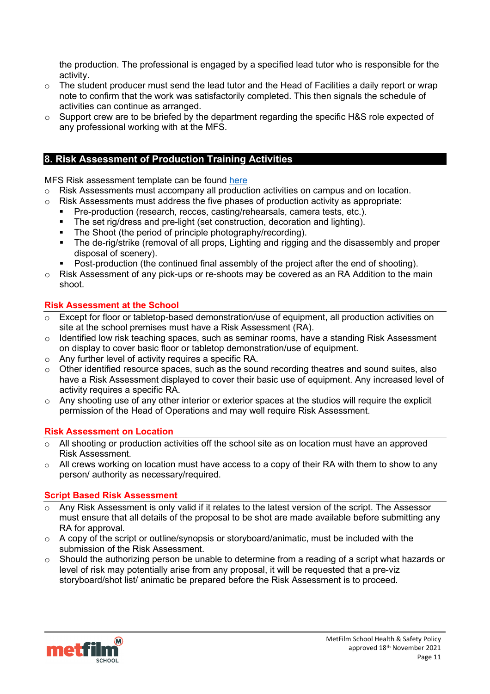the production. The professional is engaged by a specified lead tutor who is responsible for the activity.

- o The student producer must send the lead tutor and the Head of Facilities a daily report or wrap note to confirm that the work was satisfactorily completed. This then signals the schedule of activities can continue as arranged.
- o Support crew are to be briefed by the department regarding the specific H&S role expected of any professional working with at the MFS.

#### <span id="page-10-0"></span>**8. Risk Assessment of Production Training Activities**

MFS Risk assessment template can be found [here](https://metfilmschool.sharepoint.com/:w:/s/resource/Ea7VrIjnlDVKvKDfdIIEalAB_917Xg7-E-s23LbMA1JcMg?e=uW5Ht)

- $\circ$  Risk Assessments must accompany all production activities on campus and on location.<br>  $\circ$  Risk Assessments must address the five phases of production activity as appropriate:
- Risk Assessments must address the five phases of production activity as appropriate:
	- Pre-production (research, recces, casting/rehearsals, camera tests, etc.).
		- The set rig/dress and pre-light (set construction, decoration and lighting).<br>The Shoot (the period of principle photography/recording)
		- The Shoot (the period of principle photography/recording).
		- The de-rig/strike (removal of all props, Lighting and rigging and the disassembly and proper disposal of scenery).
		- Post-production (the continued final assembly of the project after the end of shooting).
- o Risk Assessment of any pick-ups or re-shoots may be covered as an RA Addition to the main shoot.

#### **Risk Assessment at the School**

- $\overline{\circ}$  Except for floor or tabletop-based demonstration/use of equipment, all production activities on site at the school premises must have a Risk Assessment (RA).
- o Identified low risk teaching spaces, such as seminar rooms, have a standing Risk Assessment on display to cover basic floor or tabletop demonstration/use of equipment.
- o Any further level of activity requires a specific RA.
- o Other identified resource spaces, such as the sound recording theatres and sound suites, also have a Risk Assessment displayed to cover their basic use of equipment. Any increased level of activity requires a specific RA.
- o Any shooting use of any other interior or exterior spaces at the studios will require the explicit permission of the Head of Operations and may well require Risk Assessment.

#### **Risk Assessment on Location**

- All shooting or production activities off the school site as on location must have an approved Risk Assessment.
- All crews working on location must have access to a copy of their RA with them to show to any person/ authority as necessary/required.

#### **Script Based Risk Assessment**

- Any Risk Assessment is only valid if it relates to the latest version of the script. The Assessor must ensure that all details of the proposal to be shot are made available before submitting any RA for approval.
- $\circ$  A copy of the script or outline/synopsis or storyboard/animatic, must be included with the submission of the Risk Assessment.
- $\circ$  Should the authorizing person be unable to determine from a reading of a script what hazards or level of risk may potentially arise from any proposal, it will be requested that a pre-viz storyboard/shot list/ animatic be prepared before the Risk Assessment is to proceed.

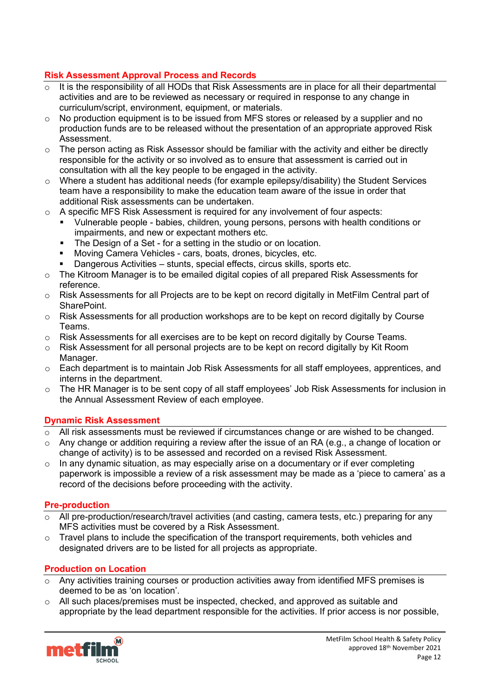# **Risk Assessment Approval Process and Records**

- $\overline{\circ}$  It is the responsibility of all HODs that Risk Assessments are in place for all their departmental activities and are to be reviewed as necessary or required in response to any change in curriculum/script, environment, equipment, or materials.
- $\circ$  No production equipment is to be issued from MFS stores or released by a supplier and no production funds are to be released without the presentation of an appropriate approved Risk Assessment.
- $\circ$  The person acting as Risk Assessor should be familiar with the activity and either be directly responsible for the activity or so involved as to ensure that assessment is carried out in consultation with all the key people to be engaged in the activity.
- $\circ$  Where a student has additional needs (for example epilepsy/disability) the Student Services team have a responsibility to make the education team aware of the issue in order that additional Risk assessments can be undertaken.
- o A specific MFS Risk Assessment is required for any involvement of four aspects:
	- Vulnerable people babies, children, young persons, persons with health conditions or impairments, and new or expectant mothers etc.
	- The Design of a Set for a setting in the studio or on location.
	- Moving Camera Vehicles cars, boats, drones, bicycles, etc.
	- Dangerous Activities stunts, special effects, circus skills, sports etc.
- o The Kitroom Manager is to be emailed digital copies of all prepared Risk Assessments for reference.
- $\circ$  Risk Assessments for all Projects are to be kept on record digitally in MetFilm Central part of SharePoint.
- $\circ$  Risk Assessments for all production workshops are to be kept on record digitally by Course Teams.
- o Risk Assessments for all exercises are to be kept on record digitally by Course Teams.
- $\circ$  Risk Assessment for all personal projects are to be kept on record digitally by Kit Room Manager.
- $\circ$  Each department is to maintain Job Risk Assessments for all staff employees, apprentices, and interns in the department.
- o The HR Manager is to be sent copy of all staff employees' Job Risk Assessments for inclusion in the Annual Assessment Review of each employee.

## **Dynamic Risk Assessment**

- All risk assessments must be reviewed if circumstances change or are wished to be changed.
- $\circ$  Any change or addition requiring a review after the issue of an RA (e.g., a change of location or change of activity) is to be assessed and recorded on a revised Risk Assessment.
- o In any dynamic situation, as may especially arise on a documentary or if ever completing paperwork is impossible a review of a risk assessment may be made as a 'piece to camera' as a record of the decisions before proceeding with the activity.

## **Pre-production**

- All pre-production/research/travel activities (and casting, camera tests, etc.) preparing for any MFS activities must be covered by a Risk Assessment.
- o Travel plans to include the specification of the transport requirements, both vehicles and designated drivers are to be listed for all projects as appropriate.

## **Production on Location**

- Any activities training courses or production activities away from identified MFS premises is deemed to be as 'on location'.
- $\circ$  All such places/premises must be inspected, checked, and approved as suitable and appropriate by the lead department responsible for the activities. If prior access is nor possible,

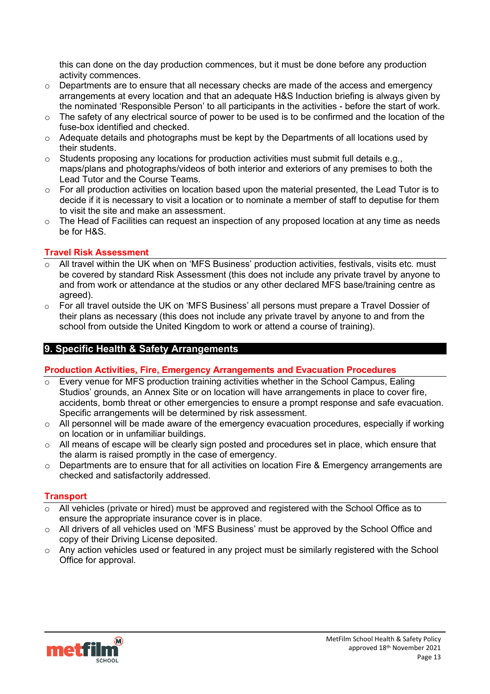this can done on the day production commences, but it must be done before any production activity commences.

- o Departments are to ensure that all necessary checks are made of the access and emergency arrangements at every location and that an adequate H&S Induction briefing is always given by the nominated 'Responsible Person' to all participants in the activities - before the start of work.
- o The safety of any electrical source of power to be used is to be confirmed and the location of the fuse-box identified and checked.
- $\circ$  Adequate details and photographs must be kept by the Departments of all locations used by their students.
- o Students proposing any locations for production activities must submit full details e.g., maps/plans and photographs/videos of both interior and exteriors of any premises to both the Lead Tutor and the Course Teams.
- $\circ$  For all production activities on location based upon the material presented, the Lead Tutor is to decide if it is necessary to visit a location or to nominate a member of staff to deputise for them to visit the site and make an assessment.
- o The Head of Facilities can request an inspection of any proposed location at any time as needs be for H&S.

## **Travel Risk Assessment**

- All travel within the UK when on 'MFS Business' production activities, festivals, visits etc. must be covered by standard Risk Assessment (this does not include any private travel by anyone to and from work or attendance at the studios or any other declared MFS base/training centre as agreed).
- o For all travel outside the UK on 'MFS Business' all persons must prepare a Travel Dossier of their plans as necessary (this does not include any private travel by anyone to and from the school from outside the United Kingdom to work or attend a course of training).

# <span id="page-12-0"></span>**9. Specific Health & Safety Arrangements**

#### **Production Activities, Fire, Emergency Arrangements and Evacuation Procedures**

- o Every venue for MFS production training activities whether in the School Campus, Ealing Studios' grounds, an Annex Site or on location will have arrangements in place to cover fire, accidents, bomb threat or other emergencies to ensure a prompt response and safe evacuation. Specific arrangements will be determined by risk assessment.
- o All personnel will be made aware of the emergency evacuation procedures, especially if working on location or in unfamiliar buildings.
- $\circ$  All means of escape will be clearly sign posted and procedures set in place, which ensure that the alarm is raised promptly in the case of emergency.
- o Departments are to ensure that for all activities on location Fire & Emergency arrangements are checked and satisfactorily addressed.

#### **Transport**

- All vehicles (private or hired) must be approved and registered with the School Office as to ensure the appropriate insurance cover is in place.
- o All drivers of all vehicles used on 'MFS Business' must be approved by the School Office and copy of their Driving License deposited.
- o Any action vehicles used or featured in any project must be similarly registered with the School Office for approval.

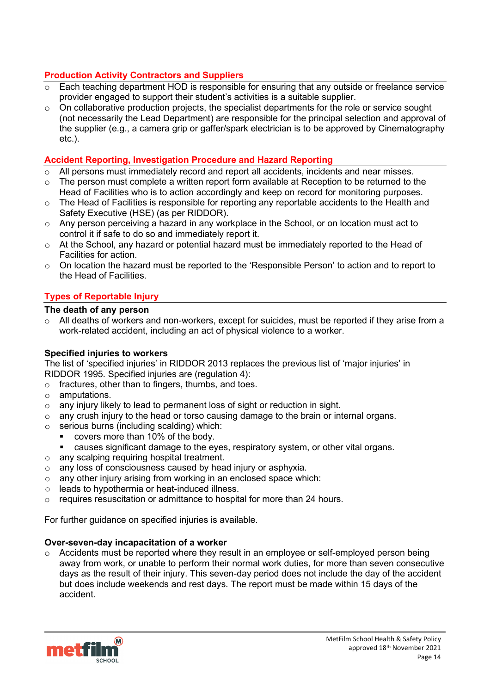# **Production Activity Contractors and Suppliers**

- $\overline{\circ}$  Each teaching department HOD is responsible for ensuring that any outside or freelance service provider engaged to support their student's activities is a suitable supplier.
- $\circ$  On collaborative production projects, the specialist departments for the role or service sought (not necessarily the Lead Department) are responsible for the principal selection and approval of the supplier (e.g., a camera grip or gaffer/spark electrician is to be approved by Cinematography etc.).

## **Accident Reporting, Investigation Procedure and Hazard Reporting**

- $\circ$  All persons must immediately record and report all accidents, incidents and near misses.
- The person must complete a written report form available at Reception to be returned to the Head of Facilities who is to action accordingly and keep on record for monitoring purposes.
- o The Head of Facilities is responsible for reporting any reportable accidents to the Health and Safety Executive (HSE) (as per RIDDOR).
- o Any person perceiving a hazard in any workplace in the School, or on location must act to control it if safe to do so and immediately report it.
- $\circ$  At the School, any hazard or potential hazard must be immediately reported to the Head of Facilities for action.
- o On location the hazard must be reported to the 'Responsible Person' to action and to report to the Head of Facilities.

# **Types of Reportable Injury**

## **The death of any person**

o All deaths of workers and non-workers, except for suicides, must be reported if they arise from a work-related accident, including an act of physical violence to a worker.

## **Specified injuries to workers**

The list of 'specified injuries' in RIDDOR 2013 replaces the previous list of 'major injuries' in RIDDOR 1995. Specified injuries are (regulation 4):

- o fractures, other than to fingers, thumbs, and toes.
- o amputations.
- o any injury likely to lead to permanent loss of sight or reduction in sight.
- $\circ$  any crush injury to the head or torso causing damage to the brain or internal organs.
- $\circ$  serious burns (including scalding) which:
	- covers more than 10% of the body.
- causes significant damage to the eyes, respiratory system, or other vital organs.
- o any scalping requiring hospital treatment.
- o any loss of consciousness caused by head injury or asphyxia.
- $\circ$  any other injury arising from working in an enclosed space which:
- $\circ$  leads to hypothermia or heat-induced illness.<br> $\circ$  requires resuscitation or admittance to hospit
- requires resuscitation or admittance to hospital for more than 24 hours.

For further guidance on [specified](http://www.hse.gov.uk/riddor/specified-injuries.htm) injuries is available.

## **Over-seven-day incapacitation of a worker**

Accidents must be reported where they result in an employee or self-employed person being away from work, or unable to perform their normal work duties, for more than seven consecutive days as the result of their injury. This seven-day period does not include the day of the accident but does include weekends and rest days. The report must be made within 15 days of the accident.

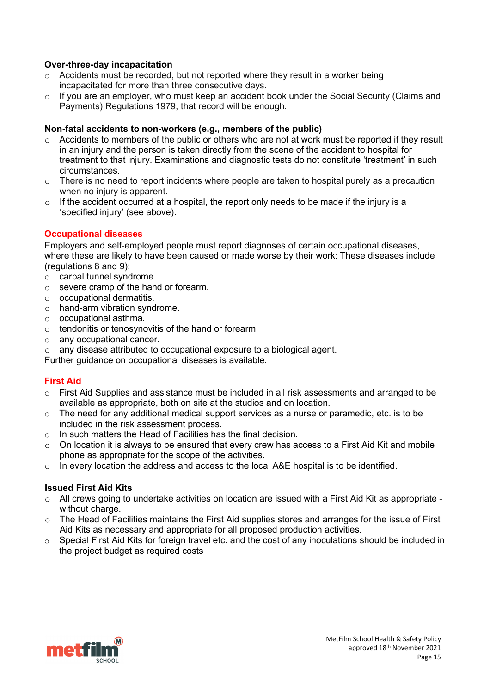## **Over-three-day incapacitation**

- $\circ$  Accidents must be recorded, but not reported where they result in a worker being incapacitated for more than three consecutive days**.**
- o If you are an employer, who must keep an accident book under the Social Security (Claims and Payments) Regulations 1979, that record will be enough.

#### **Non-fatal accidents to non-workers (e.g., members of the public)**

- o Accidents to members of the public or others who are not at work must be reported if they result in an injury and the person is taken directly from the scene of the accident to hospital for treatment to that injury. Examinations and diagnostic tests do not constitute 'treatment' in such circumstances.
- $\circ$  There is no need to report incidents where people are taken to hospital purely as a precaution when no injury is apparent.
- $\circ$  If the accident occurred at a hospital, the report only needs to be made if the injury is a ['specified](http://www.hse.gov.uk/riddor/reportable-incidents.htm#specified) injury' (see above).

## **Occupational diseases**

Employers and self-employed people must report diagnoses of certain occupational diseases, where these are likely to have been caused or made worse by their work: These diseases include (regulations 8 and 9):

- o carpal tunnel syndrome.
- o severe cramp of the hand or forearm.
- o occupational dermatitis.
- o hand-arm vibration syndrome.
- o occupational asthma.
- o tendonitis or tenosynovitis of the hand or forearm.
- o any occupational cancer.
- o any disease attributed to occupational exposure to a biological agent.

Further guidance on [occupational](http://www.hse.gov.uk/riddor/occupational-diseases.htm) diseases is available.

#### **First Aid**

- o First Aid Supplies and assistance must be included in all risk assessments and arranged to be available as appropriate, both on site at the studios and on location.
- $\circ$  The need for any additional medical support services as a nurse or paramedic, etc. is to be included in the risk assessment process.
- o In such matters the Head of Facilities has the final decision.
- o On location it is always to be ensured that every crew has access to a First Aid Kit and mobile phone as appropriate for the scope of the activities.
- o In every location the address and access to the local A&E hospital is to be identified.

#### **Issued First Aid Kits**

- o All crews going to undertake activities on location are issued with a First Aid Kit as appropriate without charge.
- $\circ$  The Head of Facilities maintains the First Aid supplies stores and arranges for the issue of First Aid Kits as necessary and appropriate for all proposed production activities.
- o Special First Aid Kits for foreign travel etc. and the cost of any inoculations should be included in the project budget as required costs

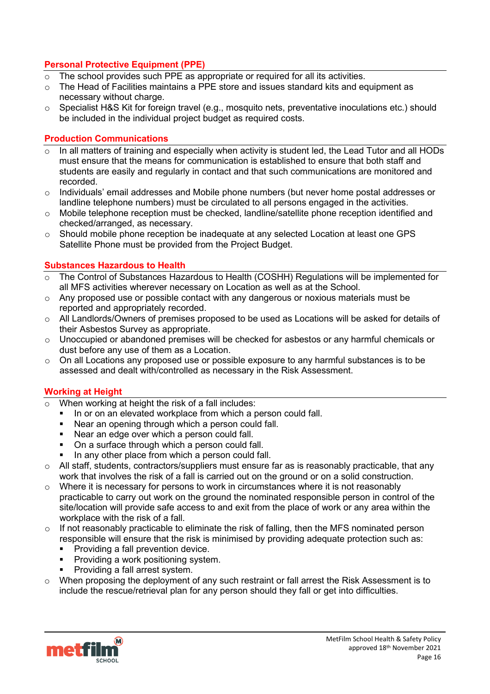## **Personal Protective Equipment (PPE)**

- $\circ$  The school provides such PPE as appropriate or required for all its activities.<br>  $\circ$  The Head of Facilities maintains a PPF store and issues standard kits and equ
- The Head of Facilities maintains a PPE store and issues standard kits and equipment as necessary without charge.
- o Specialist H&S Kit for foreign travel (e.g., mosquito nets, preventative inoculations etc.) should be included in the individual project budget as required costs.

## **Production Communications**

- o In all matters of training and especially when activity is student led, the Lead Tutor and all HODs must ensure that the means for communication is established to ensure that both staff and students are easily and regularly in contact and that such communications are monitored and recorded.
- $\circ$  Individuals' email addresses and Mobile phone numbers (but never home postal addresses or landline telephone numbers) must be circulated to all persons engaged in the activities.
- $\circ$  Mobile telephone reception must be checked, landline/satellite phone reception identified and checked/arranged, as necessary.
- o Should mobile phone reception be inadequate at any selected Location at least one GPS Satellite Phone must be provided from the Project Budget.

## **Substances Hazardous to Health**

- The Control of Substances Hazardous to Health (COSHH) Regulations will be implemented for all MFS activities wherever necessary on Location as well as at the School.
- $\circ$  Any proposed use or possible contact with any dangerous or noxious materials must be reported and appropriately recorded.
- $\circ$  All Landlords/Owners of premises proposed to be used as Locations will be asked for details of their Asbestos Survey as appropriate.
- o Unoccupied or abandoned premises will be checked for asbestos or any harmful chemicals or dust before any use of them as a Location.
- $\circ$  On all Locations any proposed use or possible exposure to any harmful substances is to be assessed and dealt with/controlled as necessary in the Risk Assessment.

## **Working at Height**

- o When working at height the risk of a fall includes:
	- In or on an elevated workplace from which a person could fall.
	- Near an opening through which a person could fall.
	- Near an edge over which a person could fall.
	- On a surface through which a person could fall.
	- In any other place from which a person could fall.
- o All staff, students, contractors/suppliers must ensure far as is reasonably practicable, that any work that involves the risk of a fall is carried out on the ground or on a solid construction.
- o Where it is necessary for persons to work in circumstances where it is not reasonably practicable to carry out work on the ground the nominated responsible person in control of the site/location will provide safe access to and exit from the place of work or any area within the workplace with the risk of a fall.
- o If not reasonably practicable to eliminate the risk of falling, then the MFS nominated person responsible will ensure that the risk is minimised by providing adequate protection such as:
	- Providing a fall prevention device.
	- Providing a work positioning system.
	- Providing a fall arrest system.
- $\circ$  When proposing the deployment of any such restraint or fall arrest the Risk Assessment is to include the rescue/retrieval plan for any person should they fall or get into difficulties.

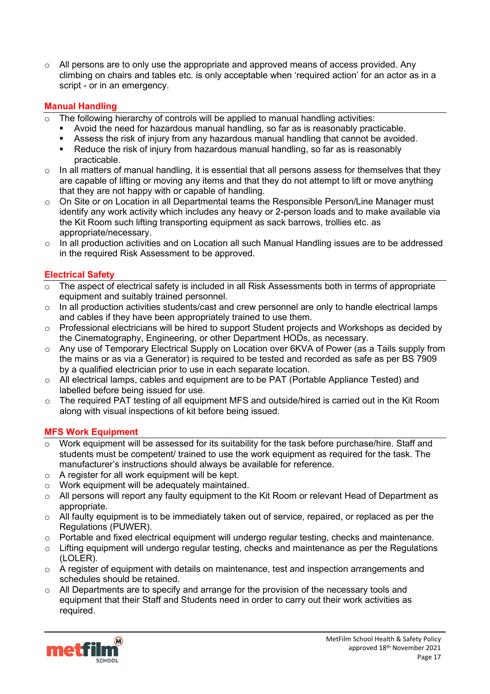$\circ$  All persons are to only use the appropriate and approved means of access provided. Any climbing on chairs and tables etc. is only acceptable when 'required action' for an actor as in a script - or in an emergency.

## **Manual Handling**

- The following hierarchy of controls will be applied to manual handling activities:
	- Avoid the need for hazardous manual handling, so far as is reasonably practicable.
	- Assess the risk of injury from any hazardous manual handling that cannot be avoided.
	- Reduce the risk of injury from hazardous manual handling, so far as is reasonably practicable.
- In all matters of manual handling, it is essential that all persons assess for themselves that they are capable of lifting or moving any items and that they do not attempt to lift or move anything that they are not happy with or capable of handling.
- $\circ$  On Site or on Location in all Departmental teams the Responsible Person/Line Manager must identify any work activity which includes any heavy or 2-person loads and to make available via the Kit Room such lifting transporting equipment as sack barrows, trollies etc. as appropriate/necessary.
- $\circ$  In all production activities and on Location all such Manual Handling issues are to be addressed in the required Risk Assessment to be approved.

# **Electrical Safety**

- The aspect of electrical safety is included in all Risk Assessments both in terms of appropriate equipment and suitably trained personnel.
- o In all production activities students/cast and crew personnel are only to handle electrical lamps and cables if they have been appropriately trained to use them.
- o Professional electricians will be hired to support Student projects and Workshops as decided by the Cinematography, Engineering, or other Department HODs, as necessary.
- Any use of Temporary Electrical Supply on Location over 6KVA of Power (as a Tails supply from the mains or as via a Generator) is required to be tested and recorded as safe as per BS 7909 by a qualified electrician prior to use in each separate location.
- o All electrical lamps, cables and equipment are to be PAT (Portable Appliance Tested) and labelled before being issued for use.
- o The required PAT testing of all equipment MFS and outside/hired is carried out in the Kit Room along with visual inspections of kit before being issued.

# **MFS Work Equipment**

- Work equipment will be assessed for its suitability for the task before purchase/hire. Staff and students must be competent/ trained to use the work equipment as required for the task. The manufacturer's instructions should always be available for reference.
- o A register for all work equipment will be kept.
- $\circ$  Work equipment will be adequately maintained.
- o All persons will report any faulty equipment to the Kit Room or relevant Head of Department as appropriate.
- o All faulty equipment is to be immediately taken out of service, repaired, or replaced as per the Regulations (PUWER).
- o Portable and fixed electrical equipment will undergo regular testing, checks and maintenance.
- $\circ$  Lifting equipment will undergo regular testing, checks and maintenance as per the Regulations (LOLER).
- $\circ$  A register of equipment with details on maintenance, test and inspection arrangements and schedules should be retained.
- $\circ$  All Departments are to specify and arrange for the provision of the necessary tools and equipment that their Staff and Students need in order to carry out their work activities as required.

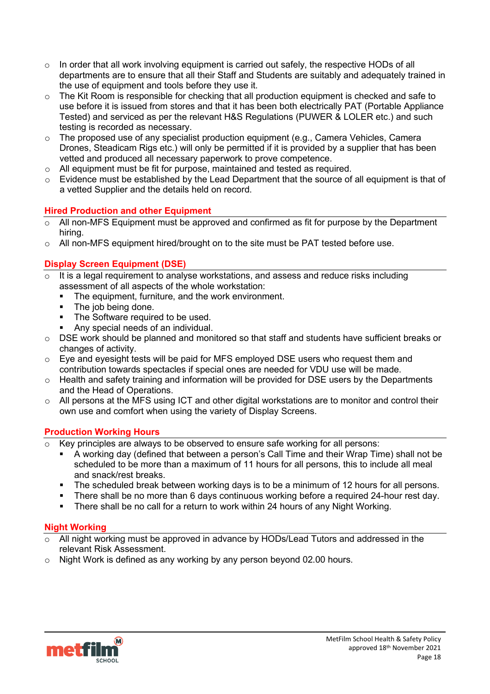- $\circ$  In order that all work involving equipment is carried out safely, the respective HODs of all departments are to ensure that all their Staff and Students are suitably and adequately trained in the use of equipment and tools before they use it.
- o The Kit Room is responsible for checking that all production equipment is checked and safe to use before it is issued from stores and that it has been both electrically PAT (Portable Appliance Tested) and serviced as per the relevant H&S Regulations (PUWER & LOLER etc.) and such testing is recorded as necessary.
- o The proposed use of any specialist production equipment (e.g., Camera Vehicles, Camera Drones, Steadicam Rigs etc.) will only be permitted if it is provided by a supplier that has been vetted and produced all necessary paperwork to prove competence.
- o All equipment must be fit for purpose, maintained and tested as required.
- o Evidence must be established by the Lead Department that the source of all equipment is that of a vetted Supplier and the details held on record.

# **Hired Production and other Equipment**

- o All non-MFS Equipment must be approved and confirmed as fit for purpose by the Department hiring.
- $\circ$  All non-MFS equipment hired/brought on to the site must be PAT tested before use.

# **Display Screen Equipment (DSE)**

- It is a legal requirement to analyse workstations, and assess and reduce risks including assessment of all aspects of the whole workstation:
	- The equipment, furniture, and the work environment.
	- The job being done.
	- The Software required to be used.
	- Any special needs of an individual.
- o DSE work should be planned and monitored so that staff and students have sufficient breaks or changes of activity.
- $\circ$  Eye and eyesight tests will be paid for MFS employed DSE users who request them and contribution towards spectacles if special ones are needed for VDU use will be made.
- $\circ$  Health and safety training and information will be provided for DSE users by the Departments and the Head of Operations.
- o All persons at the MFS using ICT and other digital workstations are to monitor and control their own use and comfort when using the variety of Display Screens.

# **Production Working Hours**

- Key principles are always to be observed to ensure safe working for all persons:
	- A working day (defined that between a person's Call Time and their Wrap Time) shall not be scheduled to be more than a maximum of 11 hours for all persons, this to include all meal and snack/rest breaks.
	- The scheduled break between working days is to be a minimum of 12 hours for all persons.
	- **There shall be no more than 6 days continuous working before a required 24-hour rest day.**
	- There shall be no call for a return to work within 24 hours of any Night Working.

# **Night Working**

- All night working must be approved in advance by HODs/Lead Tutors and addressed in the relevant Risk Assessment.
- $\circ$  Night Work is defined as any working by any person beyond 02.00 hours.

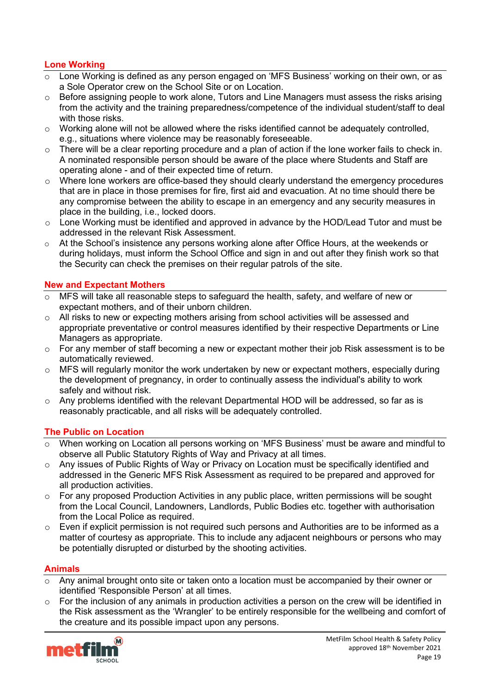## **Lone Working**

- $\overline{\circ}$  Lone Working is defined as any person engaged on 'MFS Business' working on their own, or as a Sole Operator crew on the School Site or on Location.
- $\circ$  Before assigning people to work alone. Tutors and Line Managers must assess the risks arising from the activity and the training preparedness/competence of the individual student/staff to deal with those risks.
- $\circ$  Working alone will not be allowed where the risks identified cannot be adequately controlled, e.g., situations where violence may be reasonably foreseeable.
- o There will be a clear reporting procedure and a plan of action if the lone worker fails to check in. A nominated responsible person should be aware of the place where Students and Staff are operating alone - and of their expected time of return.
- $\circ$  Where lone workers are office-based they should clearly understand the emergency procedures that are in place in those premises for fire, first aid and evacuation. At no time should there be any compromise between the ability to escape in an emergency and any security measures in place in the building, i.e., locked doors.
- $\circ$  Lone Working must be identified and approved in advance by the HOD/Lead Tutor and must be addressed in the relevant Risk Assessment.
- o At the School's insistence any persons working alone after Office Hours, at the weekends or during holidays, must inform the School Office and sign in and out after they finish work so that the Security can check the premises on their regular patrols of the site.

## **New and Expectant Mothers**

- o MFS will take all reasonable steps to safeguard the health, safety, and welfare of new or expectant mothers, and of their unborn children.
- $\circ$  All risks to new or expecting mothers arising from school activities will be assessed and appropriate preventative or control measures identified by their respective Departments or Line Managers as appropriate.
- $\circ$  For any member of staff becoming a new or expectant mother their job Risk assessment is to be automatically reviewed.
- $\circ$  MFS will regularly monitor the work undertaken by new or expectant mothers, especially during the development of pregnancy, in order to continually assess the individual's ability to work safely and without risk.
- o Any problems identified with the relevant Departmental HOD will be addressed, so far as is reasonably practicable, and all risks will be adequately controlled.

## **The Public on Location**

- When working on Location all persons working on 'MFS Business' must be aware and mindful to observe all Public Statutory Rights of Way and Privacy at all times.
- o Any issues of Public Rights of Way or Privacy on Location must be specifically identified and addressed in the Generic MFS Risk Assessment as required to be prepared and approved for all production activities.
- o For any proposed Production Activities in any public place, written permissions will be sought from the Local Council, Landowners, Landlords, Public Bodies etc. together with authorisation from the Local Police as required.
- o Even if explicit permission is not required such persons and Authorities are to be informed as a matter of courtesy as appropriate. This to include any adjacent neighbours or persons who may be potentially disrupted or disturbed by the shooting activities.

## **Animals**

- Any animal brought onto site or taken onto a location must be accompanied by their owner or identified 'Responsible Person' at all times.
- $\circ$  For the inclusion of any animals in production activities a person on the crew will be identified in the Risk assessment as the 'Wrangler' to be entirely responsible for the wellbeing and comfort of the creature and its possible impact upon any persons.

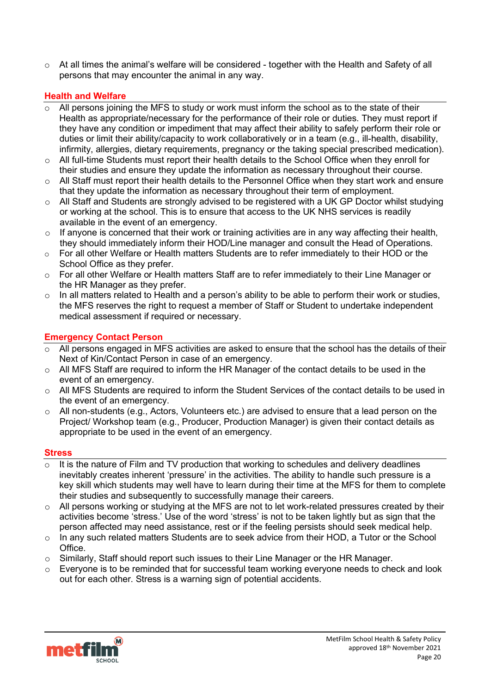$\circ$  At all times the animal's welfare will be considered - together with the Health and Safety of all persons that may encounter the animal in any way.

## **Health and Welfare**

- All persons joining the MFS to study or work must inform the school as to the state of their Health as appropriate/necessary for the performance of their role or duties. They must report if they have any condition or impediment that may affect their ability to safely perform their role or duties or limit their ability/capacity to work collaboratively or in a team (e.g., ill-health, disability, infirmity, allergies, dietary requirements, pregnancy or the taking special prescribed medication).
- $\circ$  All full-time Students must report their health details to the School Office when they enroll for their studies and ensure they update the information as necessary throughout their course.
- $\circ$  All Staff must report their health details to the Personnel Office when they start work and ensure that they update the information as necessary throughout their term of employment.
- $\circ$  All Staff and Students are strongly advised to be registered with a UK GP Doctor whilst studying or working at the school. This is to ensure that access to the UK NHS services is readily available in the event of an emergency.
- $\circ$  If anyone is concerned that their work or training activities are in any way affecting their health, they should immediately inform their HOD/Line manager and consult the Head of Operations.
- For all other Welfare or Health matters Students are to refer immediately to their HOD or the School Office as they prefer.
- o For all other Welfare or Health matters Staff are to refer immediately to their Line Manager or the HR Manager as they prefer.
- In all matters related to Health and a person's ability to be able to perform their work or studies, the MFS reserves the right to request a member of Staff or Student to undertake independent medical assessment if required or necessary.

#### **Emergency Contact Person**

- All persons engaged in MFS activities are asked to ensure that the school has the details of their Next of Kin/Contact Person in case of an emergency.
- $\circ$  All MFS Staff are required to inform the HR Manager of the contact details to be used in the event of an emergency.
- $\circ$  All MFS Students are required to inform the Student Services of the contact details to be used in the event of an emergency.
- o All non-students (e.g., Actors, Volunteers etc.) are advised to ensure that a lead person on the Project/ Workshop team (e.g., Producer, Production Manager) is given their contact details as appropriate to be used in the event of an emergency.

#### **Stress**

- It is the nature of Film and TV production that working to schedules and delivery deadlines inevitably creates inherent 'pressure' in the activities. The ability to handle such pressure is a key skill which students may well have to learn during their time at the MFS for them to complete their studies and subsequently to successfully manage their careers.
- $\circ$  All persons working or studying at the MFS are not to let work-related pressures created by their activities become 'stress.' Use of the word 'stress' is not to be taken lightly but as sign that the person affected may need assistance, rest or if the feeling persists should seek medical help.
- o In any such related matters Students are to seek advice from their HOD, a Tutor or the School Office.
- o Similarly, Staff should report such issues to their Line Manager or the HR Manager.
- Everyone is to be reminded that for successful team working everyone needs to check and look out for each other. Stress is a warning sign of potential accidents.

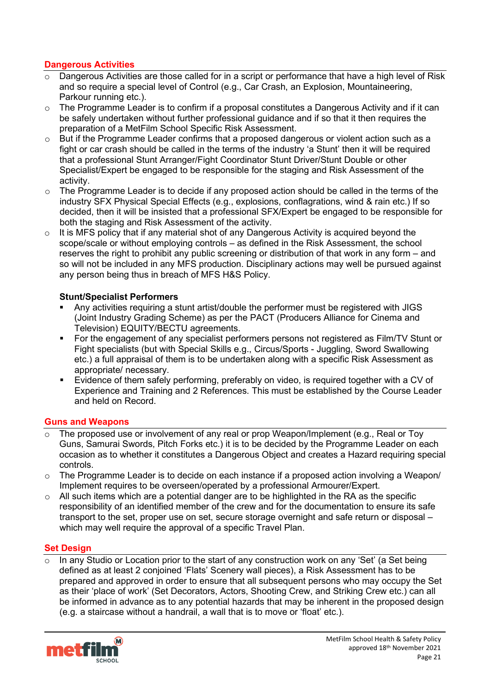## **Dangerous Activities**

- o Dangerous Activities are those called for in a script or performance that have a high level of Risk and so require a special level of Control (e.g., Car Crash, an Explosion, Mountaineering, Parkour running etc.).
- $\circ$  The Programme Leader is to confirm if a proposal constitutes a Dangerous Activity and if it can be safely undertaken without further professional guidance and if so that it then requires the preparation of a MetFilm School Specific Risk Assessment.
- $\circ$  But if the Programme Leader confirms that a proposed dangerous or violent action such as a fight or car crash should be called in the terms of the industry 'a Stunt' then it will be required that a professional Stunt Arranger/Fight Coordinator Stunt Driver/Stunt Double or other Specialist/Expert be engaged to be responsible for the staging and Risk Assessment of the activity.
- $\circ$  The Programme Leader is to decide if any proposed action should be called in the terms of the industry SFX Physical Special Effects (e.g., explosions, conflagrations, wind & rain etc.) If so decided, then it will be insisted that a professional SFX/Expert be engaged to be responsible for both the staging and Risk Assessment of the activity.
- o It is MFS policy that if any material shot of any Dangerous Activity is acquired beyond the scope/scale or without employing controls – as defined in the Risk Assessment, the school reserves the right to prohibit any public screening or distribution of that work in any form – and so will not be included in any MFS production. Disciplinary actions may well be pursued against any person being thus in breach of MFS H&S Policy.

#### **Stunt/Specialist Performers**

- Any activities requiring a stunt artist/double the performer must be registered with JIGS (Joint Industry Grading Scheme) as per the PACT (Producers Alliance for Cinema and Television) EQUITY/BECTU agreements.
- For the engagement of any specialist performers persons not registered as Film/TV Stunt or Fight specialists (but with Special Skills e.g., Circus/Sports - Juggling, Sword Swallowing etc.) a full appraisal of them is to be undertaken along with a specific Risk Assessment as appropriate/ necessary.
- Evidence of them safely performing, preferably on video, is required together with a CV of Experience and Training and 2 References. This must be established by the Course Leader and held on Record.

#### **Guns and Weapons**

- The proposed use or involvement of any real or prop Weapon/Implement (e.g., Real or Toy Guns, Samurai Swords, Pitch Forks etc.) it is to be decided by the Programme Leader on each occasion as to whether it constitutes a Dangerous Object and creates a Hazard requiring special controls.
- $\circ$  The Programme Leader is to decide on each instance if a proposed action involving a Weapon/ Implement requires to be overseen/operated by a professional Armourer/Expert.
- $\circ$  All such items which are a potential danger are to be highlighted in the RA as the specific responsibility of an identified member of the crew and for the documentation to ensure its safe transport to the set, proper use on set, secure storage overnight and safe return or disposal – which may well require the approval of a specific Travel Plan.

#### **Set Design**

In any Studio or Location prior to the start of any construction work on any 'Set' (a Set being defined as at least 2 conjoined 'Flats' Scenery wall pieces), a Risk Assessment has to be prepared and approved in order to ensure that all subsequent persons who may occupy the Set as their 'place of work' (Set Decorators, Actors, Shooting Crew, and Striking Crew etc.) can all be informed in advance as to any potential hazards that may be inherent in the proposed design (e.g. a staircase without a handrail, a wall that is to move or 'float' etc.).

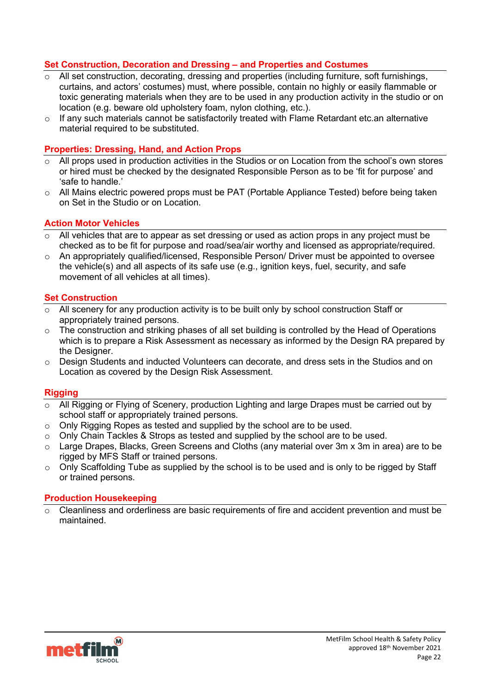## **Set Construction, Decoration and Dressing – and Properties and Costumes**

- o All set construction, decorating, dressing and properties (including furniture, soft furnishings, curtains, and actors' costumes) must, where possible, contain no highly or easily flammable or toxic generating materials when they are to be used in any production activity in the studio or on location (e.g. beware old upholstery foam, nylon clothing, etc.).
- $\circ$  If any such materials cannot be satisfactorily treated with Flame Retardant etc.an alternative material required to be substituted.

#### **Properties: Dressing, Hand, and Action Props**

- All props used in production activities in the Studios or on Location from the school's own stores or hired must be checked by the designated Responsible Person as to be 'fit for purpose' and 'safe to handle.'
- $\circ$  All Mains electric powered props must be PAT (Portable Appliance Tested) before being taken on Set in the Studio or on Location.

#### **Action Motor Vehicles**

- All vehicles that are to appear as set dressing or used as action props in any project must be checked as to be fit for purpose and road/sea/air worthy and licensed as appropriate/required.
- o An appropriately qualified/licensed, Responsible Person/ Driver must be appointed to oversee the vehicle(s) and all aspects of its safe use (e.g., ignition keys, fuel, security, and safe movement of all vehicles at all times).

#### **Set Construction**

- All scenery for any production activity is to be built only by school construction Staff or appropriately trained persons.
- $\circ$  The construction and striking phases of all set building is controlled by the Head of Operations which is to prepare a Risk Assessment as necessary as informed by the Design RA prepared by the Designer.
- o Design Students and inducted Volunteers can decorate, and dress sets in the Studios and on Location as covered by the Design Risk Assessment.

#### **Rigging**

- All Rigging or Flying of Scenery, production Lighting and large Drapes must be carried out by school staff or appropriately trained persons.
- $\circ$  Only Rigging Ropes as tested and supplied by the school are to be used.
- o Only Chain Tackles & Strops as tested and supplied by the school are to be used.
- o Large Drapes, Blacks, Green Screens and Cloths (any material over 3m x 3m in area) are to be rigged by MFS Staff or trained persons.
- o Only Scaffolding Tube as supplied by the school is to be used and is only to be rigged by Staff or trained persons.

#### **Production Housekeeping**

 $\overline{\circ}$  Cleanliness and orderliness are basic requirements of fire and accident prevention and must be maintained.